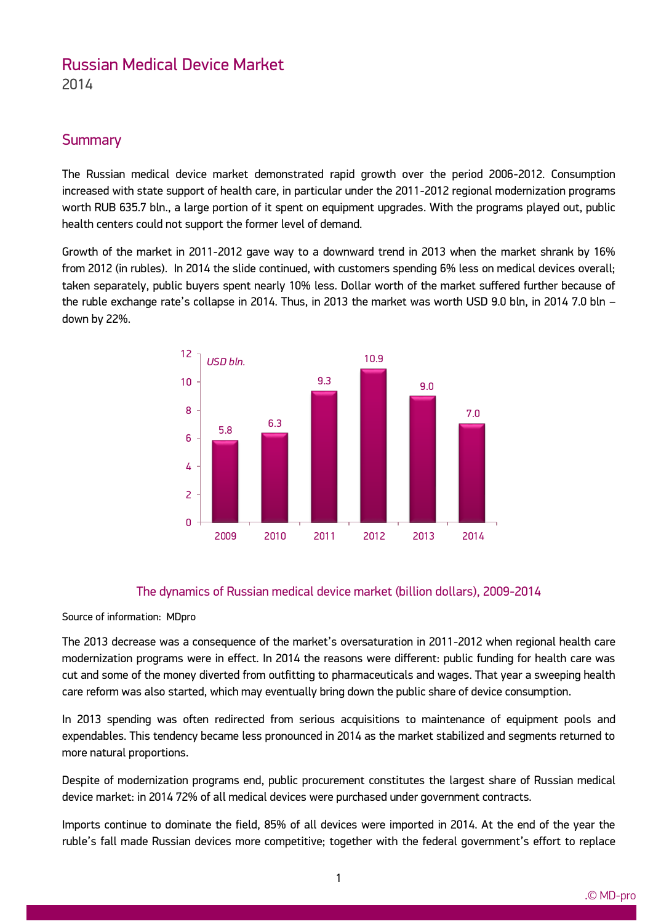# Russian Medical Device Market

2014

## **Summary**

The Russian medical device market demonstrated rapid growth over the period 2006-2012. Consumption increased with state support of health care, in particular under the 2011-2012 regional modernization programs worth RUB 635.7 bln., a large portion of it spent on equipment upgrades. With the programs played out, public health centers could not support the former level of demand.

Growth of the market in 2011-2012 gave way to a downward trend in 2013 when the market shrank by 16% from 2012 (in rubles). In 2014 the slide continued, with customers spending 6% less on medical devices overall; taken separately, public buyers spent nearly 10% less. Dollar worth of the market suffered further because of the ruble exchange rate's collapse in 2014. Thus, in 2013 the market was worth USD 9.0 bln, in 2014 7.0 bln – down by 22%.



## The dynamics of Russian medical device market (billion dollars), 2009-2014

#### Source of information: MDpro

ww.mdecker.com

The 2013 decrease was a consequence of the market's oversaturation in 2011-2012 when regional health care modernization programs were in effect. In 2014 the reasons were different: public funding for health care was cut and some of the money diverted from outfitting to pharmaceuticals and wages. That year a sweeping health care reform was also started, which may eventually bring down the public share of device consumption.

In 2013 spending was often redirected from serious acquisitions to maintenance of equipment pools and expendables. This tendency became less pronounced in 2014 as the market stabilized and segments returned to more natural proportions.

Despite of modernization programs end, public procurement constitutes the largest share of Russian medical device market: in 2014 72% of all medical devices were purchased under government contracts.

Imports continue to dominate the field, 85% of all devices were imported in 2014. At the end of the year the ruble's fall made Russian devices more competitive; together with the federal government's effort to replace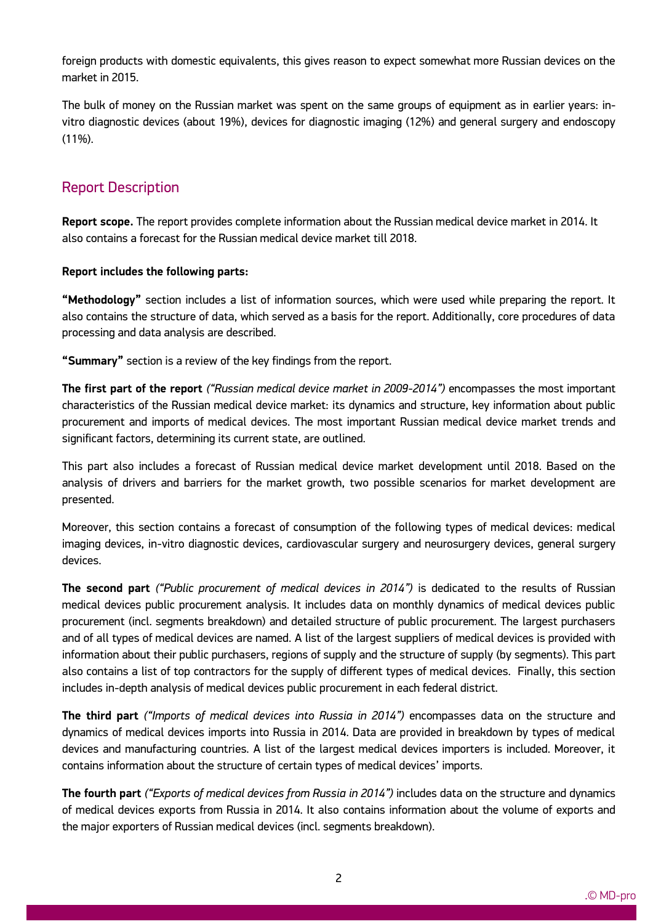foreign products with domestic equivalents, this gives reason to expect somewhat more Russian devices on the market in 2015.

The bulk of money on the Russian market was spent on the same groups of equipment as in earlier years: invitro diagnostic devices (about 19%), devices for diagnostic imaging (12%) and general surgery and endoscopy (11%).

# Report Description

ww.mdecker.com

**Report scope.** The report provides complete information about the Russian medical device market in 2014. It also contains a forecast for the Russian medical device market till 2018.

### **Report includes the following parts:**

**"Methodology"** section includes a list of information sources, which were used while preparing the report. It also contains the structure of data, which served as a basis for the report. Additionally, core procedures of data processing and data analysis are described.

**"Summary"** section is a review of the key findings from the report.

**The first part of the report** *("Russian medical device market in 2009-2014")* encompasses the most important characteristics of the Russian medical device market: its dynamics and structure, key information about public procurement and imports of medical devices. The most important Russian medical device market trends and significant factors, determining its current state, are outlined.

This part also includes a forecast of Russian medical device market development until 2018. Based on the analysis of drivers and barriers for the market growth, two possible scenarios for market development are presented.

Moreover, this section contains a forecast of consumption of the following types of medical devices: medical imaging devices, in-vitro diagnostic devices, cardiovascular surgery and neurosurgery devices, general surgery devices.

**The second part** *("Public procurement of medical devices in 2014")* is dedicated to the results of Russian medical devices public procurement analysis. It includes data on monthly dynamics of medical devices public procurement (incl. segments breakdown) and detailed structure of public procurement. The largest purchasers and of all types of medical devices are named. A list of the largest suppliers of medical devices is provided with information about their public purchasers, regions of supply and the structure of supply (by segments). This part also contains a list of top contractors for the supply of different types of medical devices. Finally, this section includes in-depth analysis of medical devices public procurement in each federal district.

**The third part** *("Imports of medical devices into Russia in 2014")* encompasses data on the structure and dynamics of medical devices imports into Russia in 2014. Data are provided in breakdown by types of medical devices and manufacturing countries. A list of the largest medical devices importers is included. Moreover, it contains information about the structure of certain types of medical devices' imports.

**The fourth part** *("Exports of medical devices from Russia in 2014")* includes data on the structure and dynamics of medical devices exports from Russia in 2014. It also contains information about the volume of exports and the major exporters of Russian medical devices (incl. segments breakdown).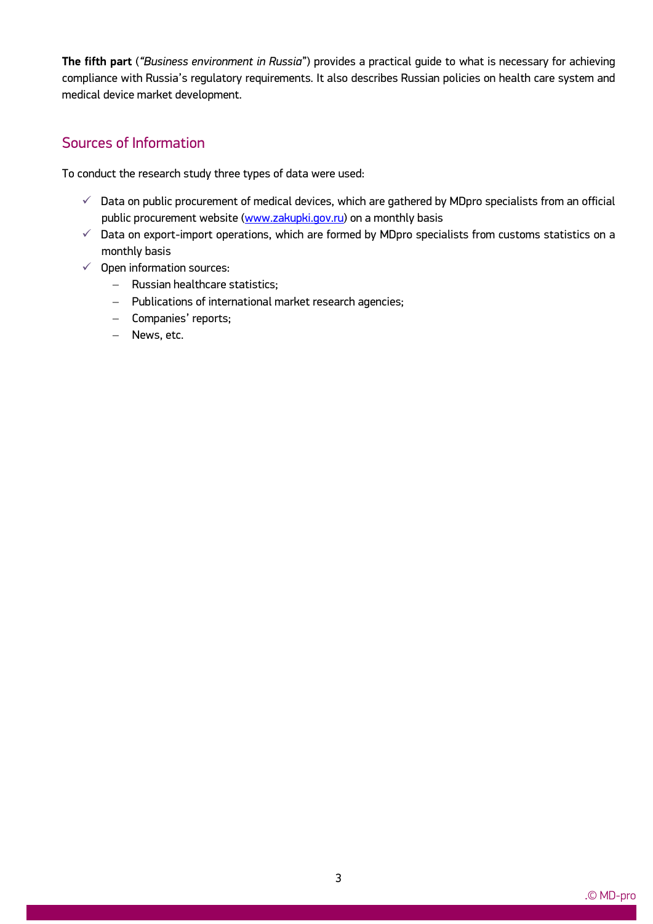**The fifth part** (*"Business environment in Russia*") provides a practical guide to what is necessary for achieving compliance with Russia's regulatory requirements. It also describes Russian policies on health care system and medical device market development.

## Sources of Information

To conduct the research study three types of data were used:

- $\checkmark$  Data on public procurement of medical devices, which are gathered by MDpro specialists from an official public procurement website [\(www.zakupki.gov.ru\)](http://www.zakupki.gov.ru/) on a monthly basis
- $\checkmark$  Data on export-import operations, which are formed by MDpro specialists from customs statistics on a monthly basis
- $\checkmark$  Open information sources:
	- Russian healthcare statistics;
	- Publications of international market research agencies;
	- Companies' reports;
	- News, etc.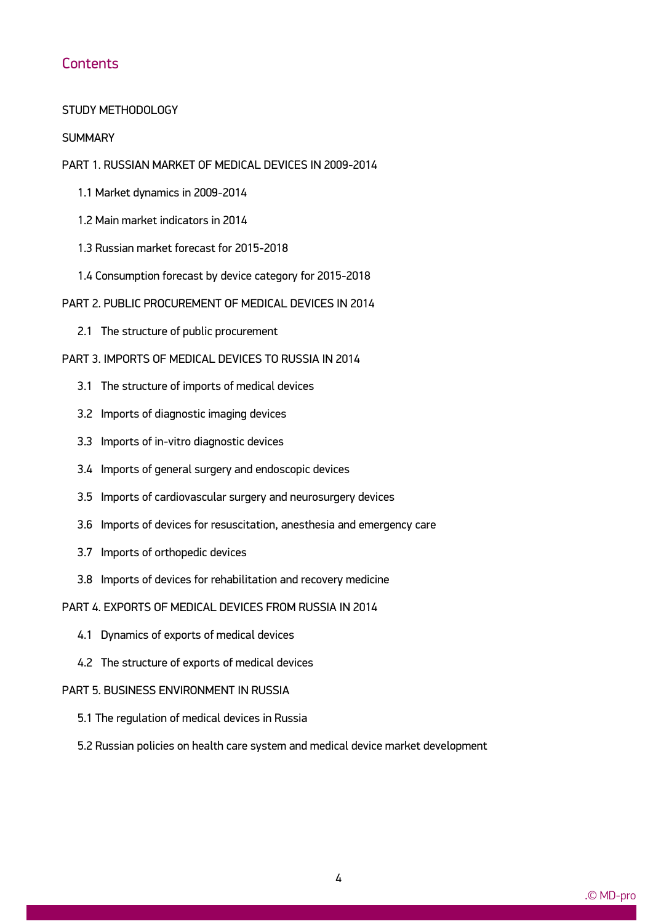## **Contents**

#### STUDY METHODOLOGY

#### **SUMMARY**

#### PART 1. RUSSIAN MARKET OF MEDICAL DEVICES IN 2009-2014

- 1.1 Market dynamics in 2009-2014
- 1.2 Main market indicators in 2014
- 1.3 Russian market forecast for 2015-2018
- 1.4 Consumption forecast by device category for 2015-2018
- PART 2. PUBLIC PROCUREMENT OF MEDICAL DEVICES IN 2014
	- 2.1 The structure of public procurement

### PART 3. IMPORTS OF MEDICAL DEVICES TO RUSSIA IN 2014

- 3.1 The structure of imports of medical devices
- 3.2 Imports of diagnostic imaging devices
- 3.3 Imports of in-vitro diagnostic devices
- 3.4 Imports of general surgery and endoscopic devices
- 3.5 Imports of cardiovascular surgery and neurosurgery devices
- 3.6 Imports of devices for resuscitation, anesthesia and emergency care
- 3.7 Imports of orthopedic devices
- 3.8 Imports of devices for rehabilitation and recovery medicine
- PART 4. EXPORTS OF MEDICAL DEVICES FROM RUSSIA IN 2014
	- 4.1 Dynamics of exports of medical devices
	- 4.2 The structure of exports of medical devices

#### PART 5. BUSINESS ENVIRONMENT IN RUSSIA

- 5.1 The regulation of medical devices in Russia
- 5.2 Russian policies on health care system and medical device market development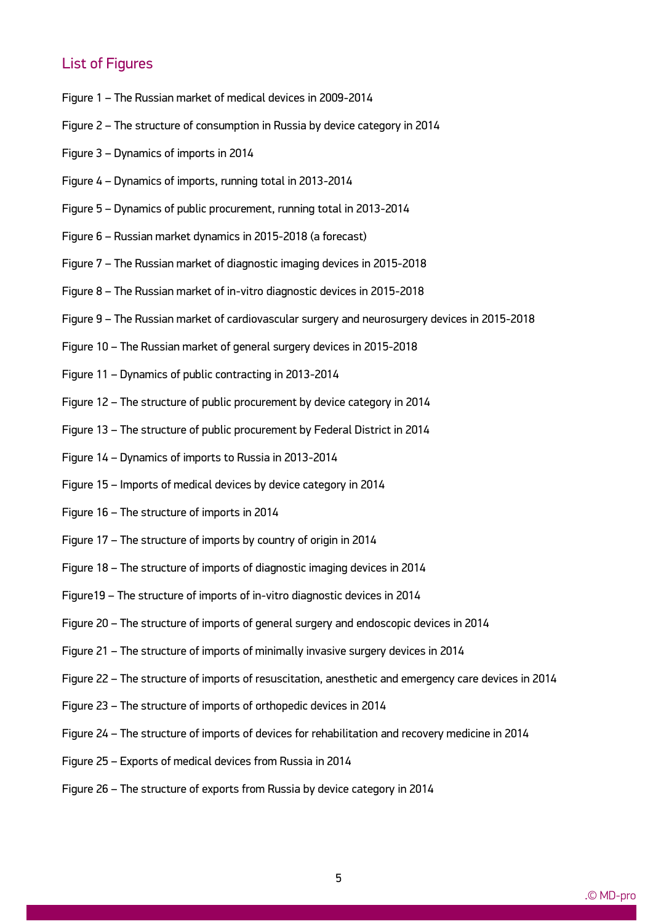## List of Figures

- Figure 1 The Russian market of medical devices in 2009-2014
- Figure 2 The structure of consumption in Russia by device category in 2014
- Figure 3 Dynamics of imports in 2014
- Figure 4 Dynamics of imports, running total in 2013-2014
- Figure 5 Dynamics of public procurement, running total in 2013-2014
- Figure 6 Russian market dynamics in 2015-2018 (a forecast)
- Figure 7 The Russian market of diagnostic imaging devices in 2015-2018
- Figure 8 The Russian market of in-vitro diagnostic devices in 2015-2018
- Figure 9 The Russian market of cardiovascular surgery and neurosurgery devices in 2015-2018
- Figure 10 The Russian market of general surgery devices in 2015-2018
- Figure 11 Dynamics of public contracting in 2013-2014
- Figure 12 The structure of public procurement by device category in 2014
- Figure 13 The structure of public procurement by Federal District in 2014
- Figure 14 Dynamics of imports to Russia in 2013-2014
- Figure 15 Imports of medical devices by device category in 2014
- Figure 16 The structure of imports in 2014
- Figure 17 The structure of imports by country of origin in 2014
- Figure 18 The structure of imports of diagnostic imaging devices in 2014
- Figure19 The structure of imports of in-vitro diagnostic devices in 2014
- Figure 20 The structure of imports of general surgery and endoscopic devices in 2014
- Figure 21 The structure of imports of minimally invasive surgery devices in 2014
- Figure 22 The structure of imports of resuscitation, anesthetic and emergency care devices in 2014
- Figure 23 The structure of imports of orthopedic devices in 2014
- Figure 24 The structure of imports of devices for rehabilitation and recovery medicine in 2014
- Figure 25 Exports of medical devices from Russia in 2014

ww.mdecker.com

Figure 26 – The structure of exports from Russia by device category in 2014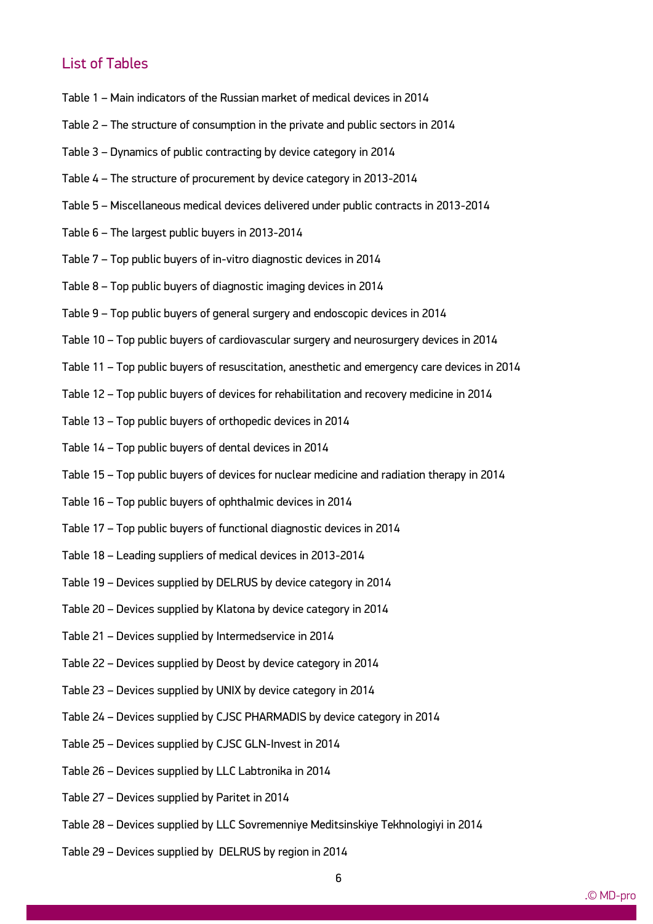## List of Tables

- Table 1 Main indicators of the Russian market of medical devices in 2014
- Table 2 The structure of consumption in the private and public sectors in 2014
- Table 3 Dynamics of public contracting by device category in 2014
- Table 4 The structure of procurement by device category in 2013-2014
- Table 5 Miscellaneous medical devices delivered under public contracts in 2013-2014
- Table 6 The largest public buyers in 2013-2014
- Table 7 Top public buyers of in-vitro diagnostic devices in 2014
- Table 8 Top public buyers of diagnostic imaging devices in 2014
- Table 9 Top public buyers of general surgery and endoscopic devices in 2014
- Table 10 Top public buyers of cardiovascular surgery and neurosurgery devices in 2014
- Table 11 Top public buyers of resuscitation, anesthetic and emergency care devices in 2014
- Table 12 Top public buyers of devices for rehabilitation and recovery medicine in 2014
- Table 13 Top public buyers of orthopedic devices in 2014
- Table 14 Top public buyers of dental devices in 2014
- Table 15 Top public buyers of devices for nuclear medicine and radiation therapy in 2014
- Table 16 Top public buyers of ophthalmic devices in 2014
- Table 17 Top public buyers of functional diagnostic devices in 2014
- Table 18 Leading suppliers of medical devices in 2013-2014
- Table 19 Devices supplied by DELRUS by device category in 2014
- Table 20 Devices supplied by Klatona by device category in 2014
- Table 21 Devices supplied by Intermedservice in 2014
- Table 22 Devices supplied by Deost by device category in 2014
- Table 23 Devices supplied by UNIX by device category in 2014
- Table 24 Devices supplied by CJSC PHARMADIS by device category in 2014
- Table 25 Devices supplied by CJSC GLN-Invest in 2014
- Table 26 Devices supplied by LLC Labtronika in 2014
- Table 27 Devices supplied by Paritet in 2014

- Table 28 Devices supplied by LLC Sovremenniye Meditsinskiye Tekhnologiyi in 2014
- Table 29 Devices supplied by DELRUS by region in 2014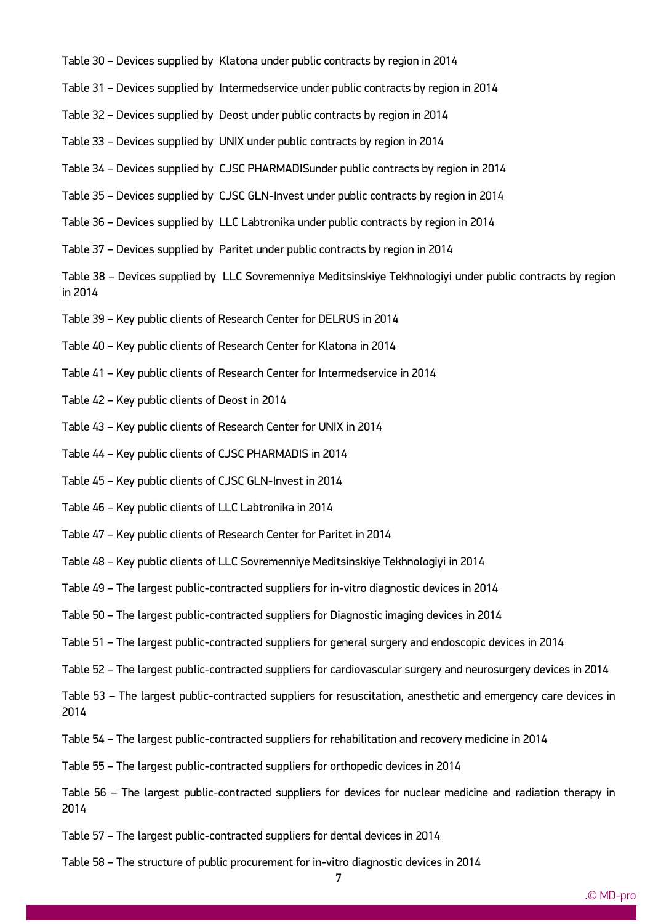- Table 30 Devices supplied by Klatona under public contracts by region in 2014
- Table 31 Devices supplied by Intermedservice under public contracts by region in 2014
- Table 32 Devices supplied by Deost under public contracts by region in 2014
- Table 33 Devices supplied by UNIX under public contracts by region in 2014
- Table 34 Devices supplied by CJSC PHARMADISunder public contracts by region in 2014
- Table 35 Devices supplied by CJSC GLN-Invest under public contracts by region in 2014
- Table 36 Devices supplied by LLC Labtronika under public contracts by region in 2014
- Table 37 Devices supplied by Paritet under public contracts by region in 2014

Table 38 – Devices supplied by LLC Sovremenniye Meditsinskiye Tekhnologiyi under public contracts by region in 2014

- Table 39 Key public clients of Research Center for DELRUS in 2014
- Table 40 Key public clients of Research Center for Klatona in 2014
- Table 41 Key public clients of Research Center for Intermedservice in 2014
- Table 42 Key public clients of Deost in 2014
- Table 43 Key public clients of Research Center for UNIX in 2014
- Table 44 Key public clients of CJSC PHARMADIS in 2014
- Table 45 Key public clients of CJSC GLN-Invest in 2014
- Table 46 Key public clients of LLC Labtronika in 2014
- Table 47 Key public clients of Research Center for Paritet in 2014
- Table 48 Key public clients of LLC Sovremenniye Meditsinskiye Tekhnologiyi in 2014
- Table 49 The largest public-contracted suppliers for in-vitro diagnostic devices in 2014
- Table 50 The largest public-contracted suppliers for Diagnostic imaging devices in 2014
- Table 51 The largest public-contracted suppliers for general surgery and endoscopic devices in 2014
- Table 52 The largest public-contracted suppliers for cardiovascular surgery and neurosurgery devices in 2014
- Table 53 The largest public-contracted suppliers for resuscitation, anesthetic and emergency care devices in 2014
- Table 54 The largest public-contracted suppliers for rehabilitation and recovery medicine in 2014
- Table 55 The largest public-contracted suppliers for orthopedic devices in 2014
- Table 56 The largest public-contracted suppliers for devices for nuclear medicine and radiation therapy in 2014
- Table 57 The largest public-contracted suppliers for dental devices in 2014

- Table 58 The structure of public procurement for in-vitro diagnostic devices in 2014
	- 7